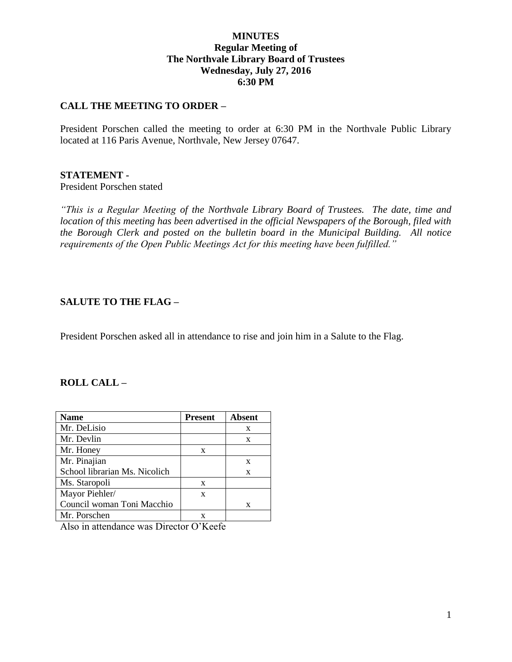## **MINUTES Regular Meeting of The Northvale Library Board of Trustees Wednesday, July 27, 2016 6:30 PM**

## **CALL THE MEETING TO ORDER –**

President Porschen called the meeting to order at 6:30 PM in the Northvale Public Library located at 116 Paris Avenue, Northvale, New Jersey 07647.

#### **STATEMENT -**

President Porschen stated

*"This is a Regular Meeting of the Northvale Library Board of Trustees. The date, time and location of this meeting has been advertised in the official Newspapers of the Borough, filed with the Borough Clerk and posted on the bulletin board in the Municipal Building. All notice requirements of the Open Public Meetings Act for this meeting have been fulfilled."* 

### **SALUTE TO THE FLAG –**

President Porschen asked all in attendance to rise and join him in a Salute to the Flag.

## **ROLL CALL –**

| <b>Name</b>                   | <b>Present</b> | <b>Absent</b> |
|-------------------------------|----------------|---------------|
| Mr. DeLisio                   |                | X             |
| Mr. Devlin                    |                | X             |
| Mr. Honey                     | X              |               |
| Mr. Pinajian                  |                | X             |
| School librarian Ms. Nicolich |                | X             |
| Ms. Staropoli                 | X              |               |
| Mayor Piehler/                | X              |               |
| Council woman Toni Macchio    |                | X             |
| Mr. Porschen                  |                |               |

Also in attendance was Director O'Keefe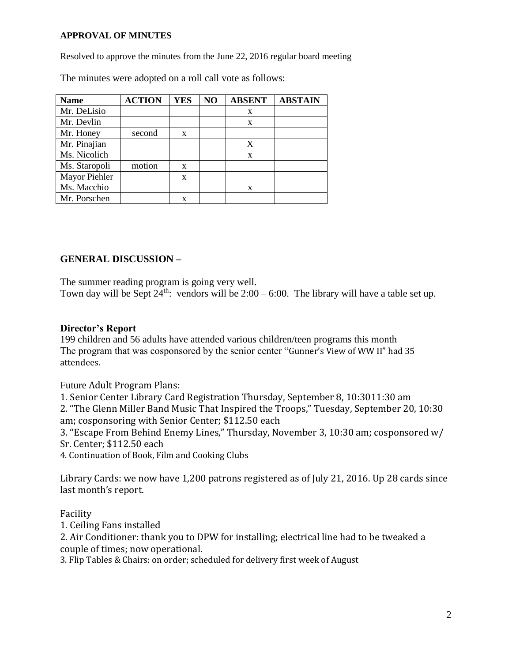#### **APPROVAL OF MINUTES**

Resolved to approve the minutes from the June 22, 2016 regular board meeting

The minutes were adopted on a roll call vote as follows:

| <b>Name</b>   | <b>ACTION</b> | <b>YES</b> | NO | <b>ABSENT</b> | <b>ABSTAIN</b> |
|---------------|---------------|------------|----|---------------|----------------|
| Mr. DeLisio   |               |            |    | X             |                |
| Mr. Devlin    |               |            |    | X             |                |
| Mr. Honey     | second        | X          |    |               |                |
| Mr. Pinajian  |               |            |    | X             |                |
| Ms. Nicolich  |               |            |    | X             |                |
| Ms. Staropoli | motion        | X          |    |               |                |
| Mayor Piehler |               | X          |    |               |                |
| Ms. Macchio   |               |            |    | X             |                |
| Mr. Porschen  |               | X          |    |               |                |

## **GENERAL DISCUSSION –**

The summer reading program is going very well.

Town day will be Sept  $24<sup>th</sup>$ : vendors will be  $2:00 - 6:00$ . The library will have a table set up.

## **Director's Report**

199 children and 56 adults have attended various children/teen programs this month The program that was cosponsored by the senior center "Gunner's View of WW II" had 35 attendees.

Future Adult Program Plans:

1. Senior Center Library Card Registration Thursday, September 8, 10:3011:30 am 2. "The Glenn Miller Band Music That Inspired the Troops," Tuesday, September 20, 10:30 am; cosponsoring with Senior Center; \$112.50 each

3. "Escape From Behind Enemy Lines," Thursday, November 3, 10:30 am; cosponsored w/ Sr. Center; \$112.50 each

4. Continuation of Book, Film and Cooking Clubs

Library Cards: we now have 1,200 patrons registered as of July 21, 2016. Up 28 cards since last month's report.

### Facility

1. Ceiling Fans installed

2. Air Conditioner: thank you to DPW for installing; electrical line had to be tweaked a couple of times; now operational.

3. Flip Tables & Chairs: on order; scheduled for delivery first week of August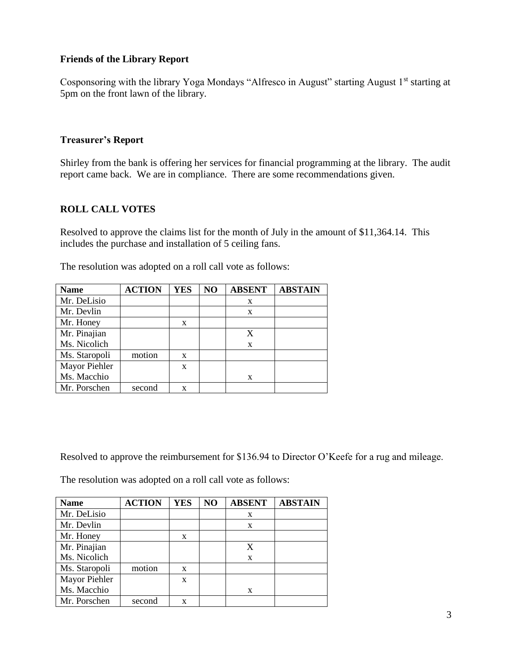## **Friends of the Library Report**

Cosponsoring with the library Yoga Mondays "Alfresco in August" starting August 1<sup>st</sup> starting at 5pm on the front lawn of the library.

### **Treasurer's Report**

Shirley from the bank is offering her services for financial programming at the library. The audit report came back. We are in compliance. There are some recommendations given.

## **ROLL CALL VOTES**

Resolved to approve the claims list for the month of July in the amount of \$11,364.14. This includes the purchase and installation of 5 ceiling fans.

| <b>Name</b>   | <b>ACTION</b> | <b>YES</b> | N <sub>O</sub> | <b>ABSENT</b> | <b>ABSTAIN</b> |
|---------------|---------------|------------|----------------|---------------|----------------|
| Mr. DeLisio   |               |            |                | X             |                |
| Mr. Devlin    |               |            |                | X             |                |
| Mr. Honey     |               | X          |                |               |                |
| Mr. Pinajian  |               |            |                | X             |                |
| Ms. Nicolich  |               |            |                | X             |                |
| Ms. Staropoli | motion        | X          |                |               |                |
| Mayor Piehler |               | X          |                |               |                |
| Ms. Macchio   |               |            |                | X             |                |
| Mr. Porschen  | second        | x          |                |               |                |

The resolution was adopted on a roll call vote as follows:

Resolved to approve the reimbursement for \$136.94 to Director O'Keefe for a rug and mileage.

The resolution was adopted on a roll call vote as follows:

| <b>Name</b>   | <b>ACTION</b> | <b>YES</b> | NO | <b>ABSENT</b> | <b>ABSTAIN</b> |
|---------------|---------------|------------|----|---------------|----------------|
| Mr. DeLisio   |               |            |    | X             |                |
| Mr. Devlin    |               |            |    | X             |                |
| Mr. Honey     |               | X          |    |               |                |
| Mr. Pinajian  |               |            |    | X             |                |
| Ms. Nicolich  |               |            |    | X             |                |
| Ms. Staropoli | motion        | X          |    |               |                |
| Mayor Piehler |               | X          |    |               |                |
| Ms. Macchio   |               |            |    | X             |                |
| Mr. Porschen  | second        | x          |    |               |                |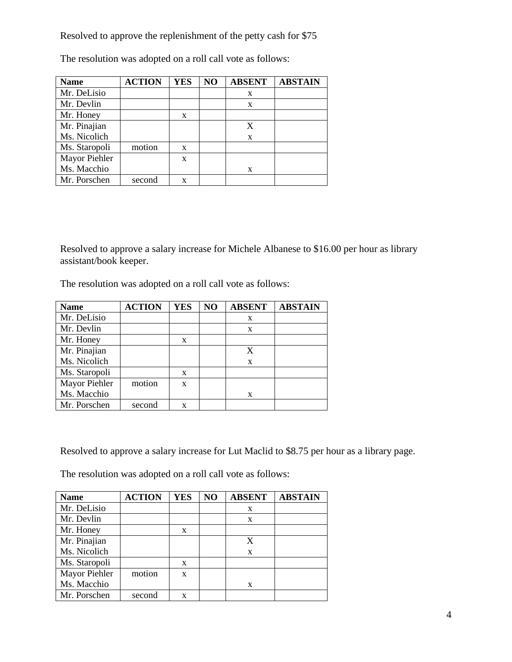Resolved to approve the replenishment of the petty cash for \$75

| <b>Name</b>   | <b>ACTION</b> | <b>YES</b> | NO | <b>ABSENT</b> | <b>ABSTAIN</b> |
|---------------|---------------|------------|----|---------------|----------------|
| Mr. DeLisio   |               |            |    | X             |                |
| Mr. Devlin    |               |            |    | X             |                |
| Mr. Honey     |               | X          |    |               |                |
| Mr. Pinajian  |               |            |    | X             |                |
| Ms. Nicolich  |               |            |    | X             |                |
| Ms. Staropoli | motion        | X          |    |               |                |
| Mayor Piehler |               | X          |    |               |                |
| Ms. Macchio   |               |            |    | X             |                |
| Mr. Porschen  | second        | X          |    |               |                |

The resolution was adopted on a roll call vote as follows:

Resolved to approve a salary increase for Michele Albanese to \$16.00 per hour as library assistant/book keeper.

The resolution was adopted on a roll call vote as follows:

| <b>Name</b>   | <b>ACTION</b> | <b>YES</b> | NO | <b>ABSENT</b> | <b>ABSTAIN</b> |
|---------------|---------------|------------|----|---------------|----------------|
| Mr. DeLisio   |               |            |    | X             |                |
| Mr. Devlin    |               |            |    | X             |                |
| Mr. Honey     |               | X          |    |               |                |
| Mr. Pinajian  |               |            |    | X             |                |
| Ms. Nicolich  |               |            |    | X             |                |
| Ms. Staropoli |               | X          |    |               |                |
| Mayor Piehler | motion        | X          |    |               |                |
| Ms. Macchio   |               |            |    | X             |                |
| Mr. Porschen  | second        | x          |    |               |                |

Resolved to approve a salary increase for Lut Maclid to \$8.75 per hour as a library page.

The resolution was adopted on a roll call vote as follows:

| <b>Name</b>   | <b>ACTION</b> | <b>YES</b> | NO | <b>ABSENT</b> | <b>ABSTAIN</b> |
|---------------|---------------|------------|----|---------------|----------------|
| Mr. DeLisio   |               |            |    | X             |                |
| Mr. Devlin    |               |            |    | X             |                |
| Mr. Honey     |               | X          |    |               |                |
| Mr. Pinajian  |               |            |    | X             |                |
| Ms. Nicolich  |               |            |    | X             |                |
| Ms. Staropoli |               | X          |    |               |                |
| Mayor Piehler | motion        | X          |    |               |                |
| Ms. Macchio   |               |            |    | X             |                |
| Mr. Porschen  | second        | X          |    |               |                |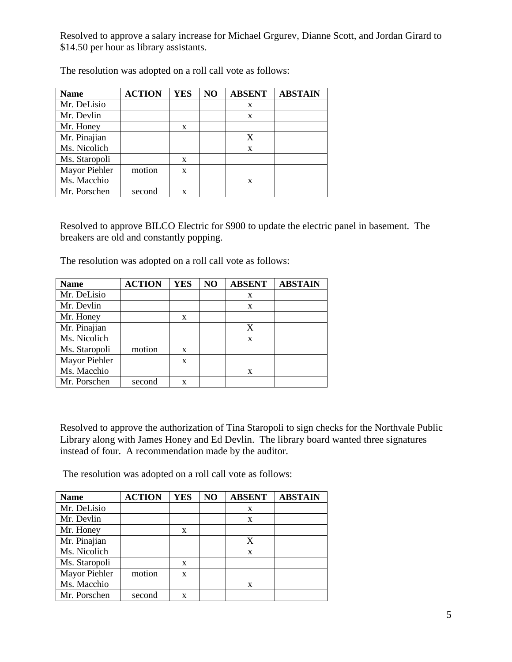Resolved to approve a salary increase for Michael Grgurev, Dianne Scott, and Jordan Girard to \$14.50 per hour as library assistants.

| <b>Name</b>   | <b>ACTION</b> | <b>YES</b> | NO | <b>ABSENT</b> | <b>ABSTAIN</b> |
|---------------|---------------|------------|----|---------------|----------------|
| Mr. DeLisio   |               |            |    | X             |                |
| Mr. Devlin    |               |            |    | X             |                |
| Mr. Honey     |               | X          |    |               |                |
| Mr. Pinajian  |               |            |    | X             |                |
| Ms. Nicolich  |               |            |    | X             |                |
| Ms. Staropoli |               | X          |    |               |                |
| Mayor Piehler | motion        | X          |    |               |                |
| Ms. Macchio   |               |            |    | X             |                |
| Mr. Porschen  | second        | x          |    |               |                |

The resolution was adopted on a roll call vote as follows:

Resolved to approve BILCO Electric for \$900 to update the electric panel in basement. The breakers are old and constantly popping.

The resolution was adopted on a roll call vote as follows:

| <b>Name</b>   | <b>ACTION</b> | <b>YES</b> | NO | <b>ABSENT</b> | <b>ABSTAIN</b> |
|---------------|---------------|------------|----|---------------|----------------|
| Mr. DeLisio   |               |            |    | X             |                |
| Mr. Devlin    |               |            |    | X             |                |
| Mr. Honey     |               | X          |    |               |                |
| Mr. Pinajian  |               |            |    | X             |                |
| Ms. Nicolich  |               |            |    | X             |                |
| Ms. Staropoli | motion        | X          |    |               |                |
| Mayor Piehler |               | X          |    |               |                |
| Ms. Macchio   |               |            |    | X             |                |
| Mr. Porschen  | second        | X          |    |               |                |

Resolved to approve the authorization of Tina Staropoli to sign checks for the Northvale Public Library along with James Honey and Ed Devlin. The library board wanted three signatures instead of four. A recommendation made by the auditor.

The resolution was adopted on a roll call vote as follows:

| <b>Name</b>   | <b>ACTION</b> | <b>YES</b>   | NO | <b>ABSENT</b> | <b>ABSTAIN</b> |
|---------------|---------------|--------------|----|---------------|----------------|
| Mr. DeLisio   |               |              |    | X             |                |
| Mr. Devlin    |               |              |    | X             |                |
| Mr. Honey     |               | $\mathbf{x}$ |    |               |                |
| Mr. Pinajian  |               |              |    | X             |                |
| Ms. Nicolich  |               |              |    | X             |                |
| Ms. Staropoli |               | X            |    |               |                |
| Mayor Piehler | motion        | X            |    |               |                |
| Ms. Macchio   |               |              |    | X             |                |
| Mr. Porschen  | second        | X            |    |               |                |